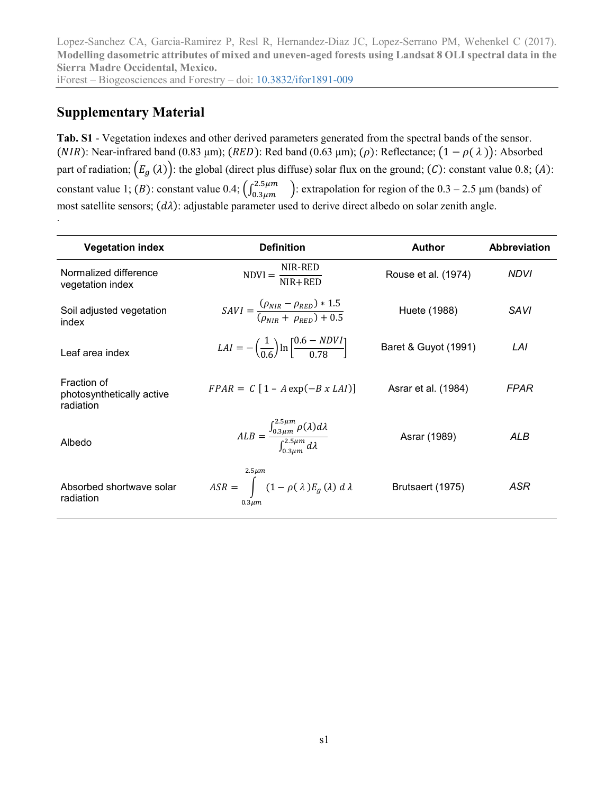Lopez-Sanchez CA, Garcia-Ramirez P, Resl R, Hernandez-Diaz JC, Lopez-Serrano PM, Wehenkel C (2017). **Modelling dasometric attributes of mixed and uneven-aged forests using Landsat 8 OLI spectral data in the Sierra Madre Occidental, Mexico.**

iForest – Biogeosciences and Forestry – doi: [10.3832/ifor1891-009](http://dx.doi.org/10.3832/ifor1891-009)

## **Supplementary Material**

.

**Tab. S1** - Vegetation indexes and other derived parameters generated from the spectral bands of the sensor. (NIR): Near-infrared band (0.83 μm); (RED): Red band (0.63 μm); ( $\rho$ ): Reflectance;  $(1 - \rho(\lambda))$ : Absorbed part of radiation;  $(E_g(\lambda))$ : the global (direct plus diffuse) solar flux on the ground; (C): constant value 0.8; (A): constant value 1; (B): constant value 0.4;  $\left(\int_{0.3\mu m}^{2.5\mu m}\right)$ : extrapolation for region of the 0.3 – 2.5  $\mu$ m (bands) of most satellite sensors;  $(d\lambda)$ : adjustable parameter used to derive direct albedo on solar zenith angle.

| <b>Vegetation index</b>                               | <b>Definition</b>                                                                                | <b>Author</b>        | <b>Abbreviation</b> |
|-------------------------------------------------------|--------------------------------------------------------------------------------------------------|----------------------|---------------------|
| Normalized difference<br>vegetation index             | NIR-RED<br>$NDVI = \frac{NIR + RED}{NIR + RED}$                                                  | Rouse et al. (1974)  | <b>NDVI</b>         |
| Soil adjusted vegetation<br>index                     | $SAVI = \frac{(\rho_{NIR} - \rho_{RED}) * 1.5}{(\rho_{NIR} + \rho_{PED}) + 0.5}$                 | Huete (1988)         | SAVI                |
| Leaf area index                                       | $LAI = -(\frac{1}{0.6}) \ln \left[ \frac{0.6 - NDVI}{0.78} \right]$                              | Baret & Guyot (1991) | LAI                 |
| Fraction of<br>photosynthetically active<br>radiation | $FPAR = C [1 - A exp(-B x LAI)]$                                                                 | Asrar et al. (1984)  | <b>FPAR</b>         |
| Albedo                                                | $ALB = \frac{\int_{0.3\mu m}^{2.5\mu m} \rho(\lambda) d\lambda}{\int_{0.5}^{2.5\mu m} d\lambda}$ | Asrar (1989)         | ALB                 |
| Absorbed shortwave solar<br>radiation                 | $2.5 \mu m$<br>$ASR = \int (1 - \rho(\lambda) E_g(\lambda) d\lambda$<br>$0.3 \mu m$              | Brutsaert (1975)     | ASR                 |